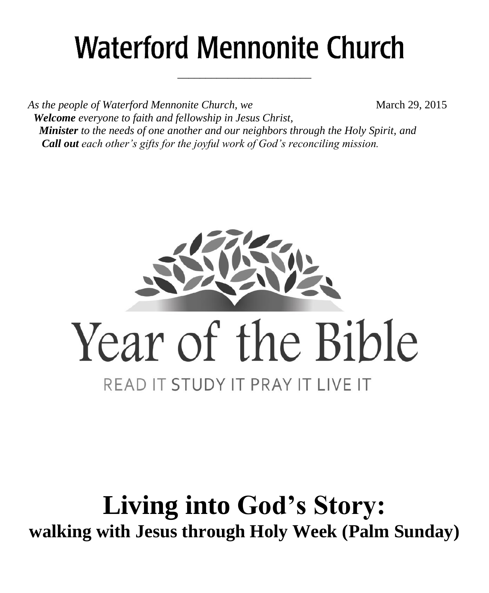# **Waterford Mennonite Church**

\_\_\_\_\_\_\_\_\_\_\_\_\_\_\_\_\_\_\_\_\_\_\_\_

*As the people of Waterford Mennonite Church, we* March 29, 2015  *Welcome everyone to faith and fellowship in Jesus Christ, Minister to the needs of one another and our neighbors through the Holy Spirit, and Call out each other's gifts for the joyful work of God's reconciling mission.*



# **Living into God's Story: walking with Jesus through Holy Week (Palm Sunday)**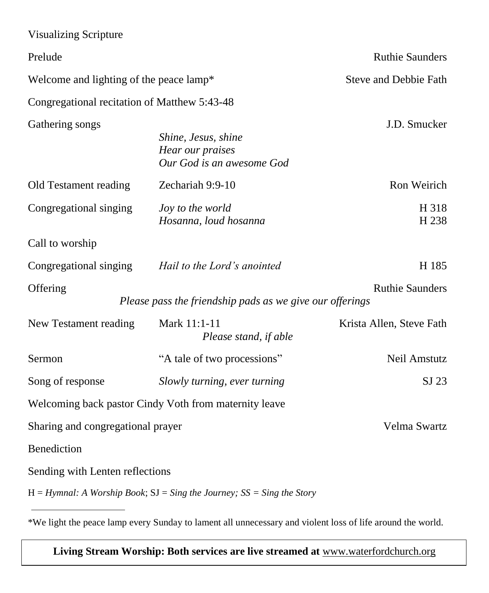| <b>Visualizing Scripture</b>                     |                                                                               |                              |
|--------------------------------------------------|-------------------------------------------------------------------------------|------------------------------|
| Prelude                                          |                                                                               | <b>Ruthie Saunders</b>       |
| Welcome and lighting of the peace lamp*          |                                                                               | <b>Steve and Debbie Fath</b> |
| Congregational recitation of Matthew 5:43-48     |                                                                               |                              |
| Gathering songs                                  | Shine, Jesus, shine<br>Hear our praises<br>Our God is an awesome God          | J.D. Smucker                 |
| Old Testament reading                            | Zechariah 9:9-10                                                              | Ron Weirich                  |
| Congregational singing                           | Joy to the world<br>Hosanna, loud hosanna                                     | H 318<br>H 238               |
| Call to worship                                  |                                                                               |                              |
| Congregational singing                           | Hail to the Lord's anointed                                                   | H 185                        |
| Offering                                         | Please pass the friendship pads as we give our offerings                      | <b>Ruthie Saunders</b>       |
| New Testament reading                            | Mark 11:1-11<br>Please stand, if able                                         | Krista Allen, Steve Fath     |
| Sermon                                           | "A tale of two processions"                                                   | Neil Amstutz                 |
| Song of response<br>Slowly turning, ever turning |                                                                               | SJ 23                        |
|                                                  | Welcoming back pastor Cindy Voth from maternity leave                         |                              |
| Sharing and congregational prayer                |                                                                               | Velma Swartz                 |
| Benediction                                      |                                                                               |                              |
| Sending with Lenten reflections                  |                                                                               |                              |
|                                                  | $H = H$ ymnal: A Worship Book; $SJ = Sing$ the Journey; $SS = Sing$ the Story |                              |

<sup>\*</sup>We light the peace lamp every Sunday to lament all unnecessary and violent loss of life around the world.

**Living Stream Worship: Both services are live streamed at** [www.waterfordchurch.org](http://www.waterfordchurch.org/)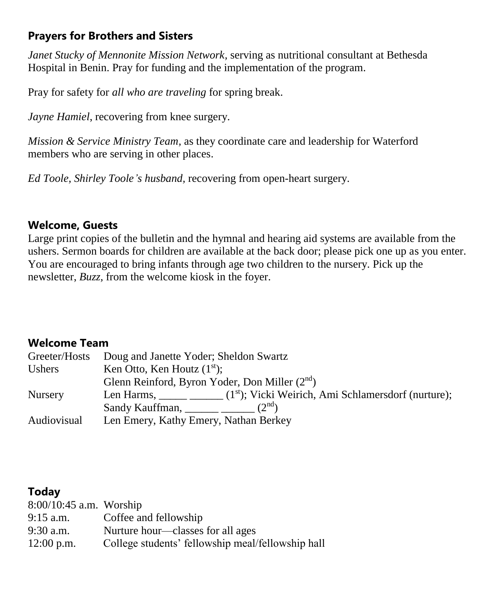# **Prayers for Brothers and Sisters**

*Janet Stucky of Mennonite Mission Network,* serving as nutritional consultant at Bethesda Hospital in Benin. Pray for funding and the implementation of the program.

Pray for safety for *all who are traveling* for spring break.

*Jayne Hamiel*, recovering from knee surgery.

*Mission & Service Ministry Team,* as they coordinate care and leadership for Waterford members who are serving in other places.

*Ed Toole, Shirley Toole's husband,* recovering from open-heart surgery.

### **Welcome, Guests**

Large print copies of the bulletin and the hymnal and hearing aid systems are available from the ushers. Sermon boards for children are available at the back door; please pick one up as you enter. You are encouraged to bring infants through age two children to the nursery. Pick up the newsletter, *Buzz,* from the welcome kiosk in the foyer.

## **Welcome Team**

| Greeter/Hosts  | Doug and Janette Yoder; Sheldon Swartz                           |
|----------------|------------------------------------------------------------------|
| Ushers         | Ken Otto, Ken Houtz $(1st)$ ;                                    |
|                | Glenn Reinford, Byron Yoder, Don Miller $(2nd)$                  |
| <b>Nursery</b> | Len Harms, $(1st)$ ; Vicki Weirich, Ami Schlamersdorf (nurture); |
|                | Sandy Kauffman, $(2nd)$                                          |
| Audiovisual    | Len Emery, Kathy Emery, Nathan Berkey                            |

# **Today**

| $8:00/10:45$ a.m. Worship |                                                   |
|---------------------------|---------------------------------------------------|
| $9:15$ a.m.               | Coffee and fellowship                             |
| $9:30$ a.m.               | Nurture hour—classes for all ages                 |
| $12:00$ p.m.              | College students' fellowship meal/fellowship hall |